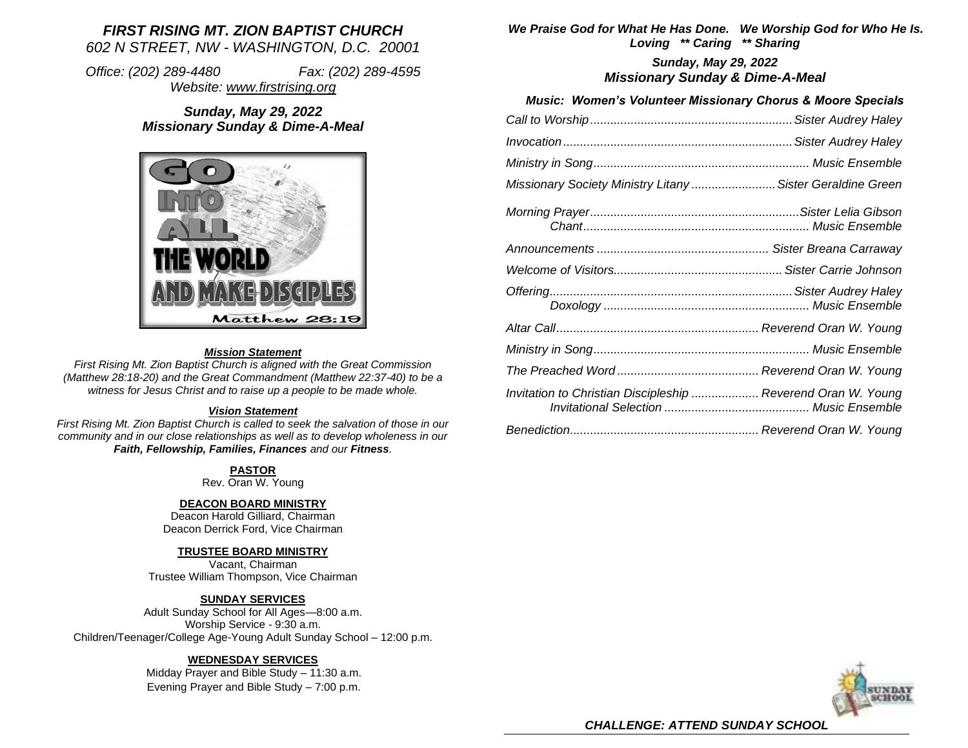# *FIRST RISING MT. ZION BAPTIST CHURCH 602 N STREET, NW - WASHINGTON, D.C. 20001*

*Office: (202) 289-4480 Fax: (202) 289-4595 Website: [www.firstrising.org](http://www.firstrising.org/)*

# *Sunday, May 29, 2022 Missionary Sunday & Dime-A-Meal*



#### *Mission Statement*

*First Rising Mt. Zion Baptist Church is aligned with the Great Commission (Matthew 28:18-20) and the Great Commandment (Matthew 22:37-40) to be a witness for Jesus Christ and to raise up a people to be made whole.*

#### *Vision Statement*

*First Rising Mt. Zion Baptist Church is called to seek the salvation of those in our community and in our close relationships as well as to develop wholeness in our Faith, Fellowship, Families, Finances and our Fitness.*

## **PASTOR**

Rev. Oran W. Young

### **DEACON BOARD MINISTRY**

Deacon Harold Gilliard, Chairman Deacon Derrick Ford, Vice Chairman

### **TRUSTEE BOARD MINISTRY**

Vacant, Chairman Trustee William Thompson, Vice Chairman

### **SUNDAY SERVICES**

Adult Sunday School for All Ages—8:00 a.m. Worship Service - 9:30 a.m. Children/Teenager/College Age-Young Adult Sunday School – 12:00 p.m.

### **WEDNESDAY SERVICES**

Midday Prayer and Bible Study – 11:30 a.m. Evening Prayer and Bible Study – 7:00 p.m.

*We Praise God for What He Has Done. We Worship God for Who He Is. Loving \*\* Caring \*\* Sharing*

> *Sunday, May 29, 2022 Missionary Sunday & Dime-A-Meal*

## *Music: Women's Volunteer Missionary Chorus & Moore Specials*

| Missionary Society Ministry Litany  Sister Geraldine Green   |  |
|--------------------------------------------------------------|--|
|                                                              |  |
|                                                              |  |
|                                                              |  |
|                                                              |  |
|                                                              |  |
|                                                              |  |
|                                                              |  |
| Invitation to Christian Discipleship  Reverend Oran W. Young |  |
|                                                              |  |



*CHALLENGE: ATTEND SUNDAY SCHOOL*